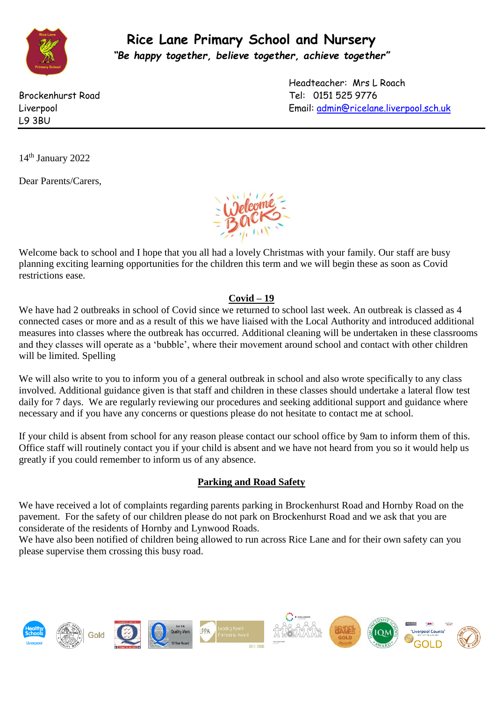

**Rice Lane Primary School and Nursery** *"Be happy together, believe together, achieve together"*

L9 3BU

Headteacher: Mrs L Roach Brockenhurst Road Tel: 0151 525 9776 Liverpool Email: [admin@ricelane.liverpool.sch.uk](mailto:admin@ricelane.liverpool.sch.uk) 

14<sup>th</sup> January 2022

Dear Parents/Carers,



Welcome back to school and I hope that you all had a lovely Christmas with your family. Our staff are busy planning exciting learning opportunities for the children this term and we will begin these as soon as Covid restrictions ease.

## **Covid – 19**

We have had 2 outbreaks in school of Covid since we returned to school last week. An outbreak is classed as 4 connected cases or more and as a result of this we have liaised with the Local Authority and introduced additional measures into classes where the outbreak has occurred. Additional cleaning will be undertaken in these classrooms and they classes will operate as a 'bubble', where their movement around school and contact with other children will be limited. Spelling

We will also write to you to inform you of a general outbreak in school and also wrote specifically to any class involved. Additional guidance given is that staff and children in these classes should undertake a lateral flow test daily for 7 days. We are regularly reviewing our procedures and seeking additional support and guidance where necessary and if you have any concerns or questions please do not hesitate to contact me at school.

If your child is absent from school for any reason please contact our school office by 9am to inform them of this. Office staff will routinely contact you if your child is absent and we have not heard from you so it would help us greatly if you could remember to inform us of any absence.

## **Parking and Road Safety**

We have received a lot of complaints regarding parents parking in Brockenhurst Road and Hornby Road on the pavement. For the safety of our children please do not park on Brockenhurst Road and we ask that you are considerate of the residents of Hornby and Lynwood Roads.

We have also been notified of children being allowed to run across Rice Lane and for their own safety can you please supervise them crossing this busy road.